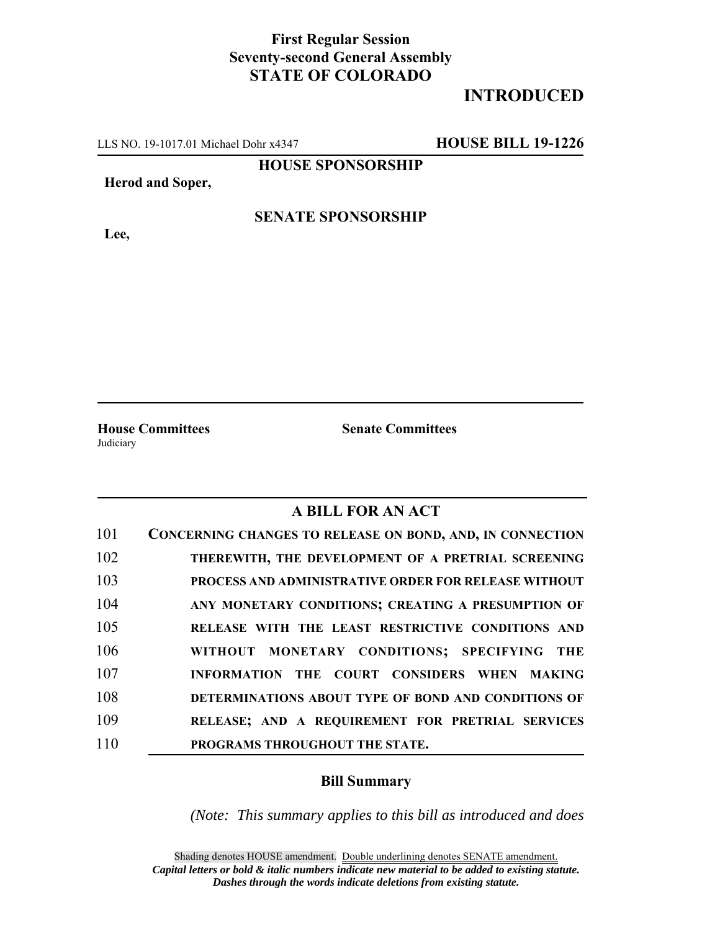## **First Regular Session Seventy-second General Assembly STATE OF COLORADO**

# **INTRODUCED**

LLS NO. 19-1017.01 Michael Dohr x4347 **HOUSE BILL 19-1226**

**HOUSE SPONSORSHIP**

#### **Herod and Soper,**

**Lee,**

### **SENATE SPONSORSHIP**

**Judiciary** 

**House Committees Senate Committees**

#### **A BILL FOR AN ACT**

| 101 | <b>CONCERNING CHANGES TO RELEASE ON BOND, AND, IN CONNECTION</b> |
|-----|------------------------------------------------------------------|
| 102 | THEREWITH, THE DEVELOPMENT OF A PRETRIAL SCREENING               |
| 103 | <b>PROCESS AND ADMINISTRATIVE ORDER FOR RELEASE WITHOUT</b>      |
| 104 | ANY MONETARY CONDITIONS; CREATING A PRESUMPTION OF               |
| 105 | RELEASE WITH THE LEAST RESTRICTIVE CONDITIONS AND                |
| 106 | WITHOUT MONETARY CONDITIONS; SPECIFYING THE                      |
| 107 | INFORMATION THE COURT CONSIDERS WHEN MAKING                      |
| 108 | DETERMINATIONS ABOUT TYPE OF BOND AND CONDITIONS OF              |
| 109 | RELEASE; AND A REQUIREMENT FOR PRETRIAL SERVICES                 |
| 110 | PROGRAMS THROUGHOUT THE STATE.                                   |

#### **Bill Summary**

*(Note: This summary applies to this bill as introduced and does*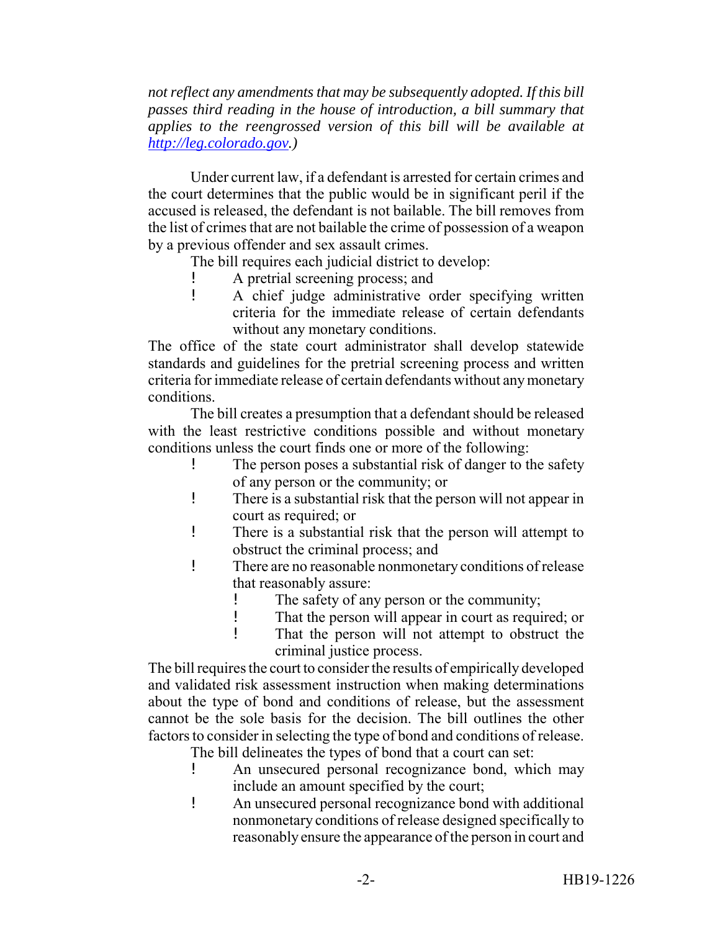*not reflect any amendments that may be subsequently adopted. If this bill passes third reading in the house of introduction, a bill summary that applies to the reengrossed version of this bill will be available at http://leg.colorado.gov.)*

Under current law, if a defendant is arrested for certain crimes and the court determines that the public would be in significant peril if the accused is released, the defendant is not bailable. The bill removes from the list of crimes that are not bailable the crime of possession of a weapon by a previous offender and sex assault crimes.

The bill requires each judicial district to develop:

- A pretrial screening process; and
- ! A chief judge administrative order specifying written criteria for the immediate release of certain defendants without any monetary conditions.

The office of the state court administrator shall develop statewide standards and guidelines for the pretrial screening process and written criteria for immediate release of certain defendants without any monetary conditions.

The bill creates a presumption that a defendant should be released with the least restrictive conditions possible and without monetary conditions unless the court finds one or more of the following:

- The person poses a substantial risk of danger to the safety of any person or the community; or
- ! There is a substantial risk that the person will not appear in court as required; or
- ! There is a substantial risk that the person will attempt to obstruct the criminal process; and
- ! There are no reasonable nonmonetary conditions of release that reasonably assure:
	- ! The safety of any person or the community;
	- ! That the person will appear in court as required; or
	- ! That the person will not attempt to obstruct the criminal justice process.

The bill requires the court to consider the results of empirically developed and validated risk assessment instruction when making determinations about the type of bond and conditions of release, but the assessment cannot be the sole basis for the decision. The bill outlines the other factors to consider in selecting the type of bond and conditions of release.

- The bill delineates the types of bond that a court can set:
- ! An unsecured personal recognizance bond, which may include an amount specified by the court;
- ! An unsecured personal recognizance bond with additional nonmonetary conditions of release designed specifically to reasonably ensure the appearance of the person in court and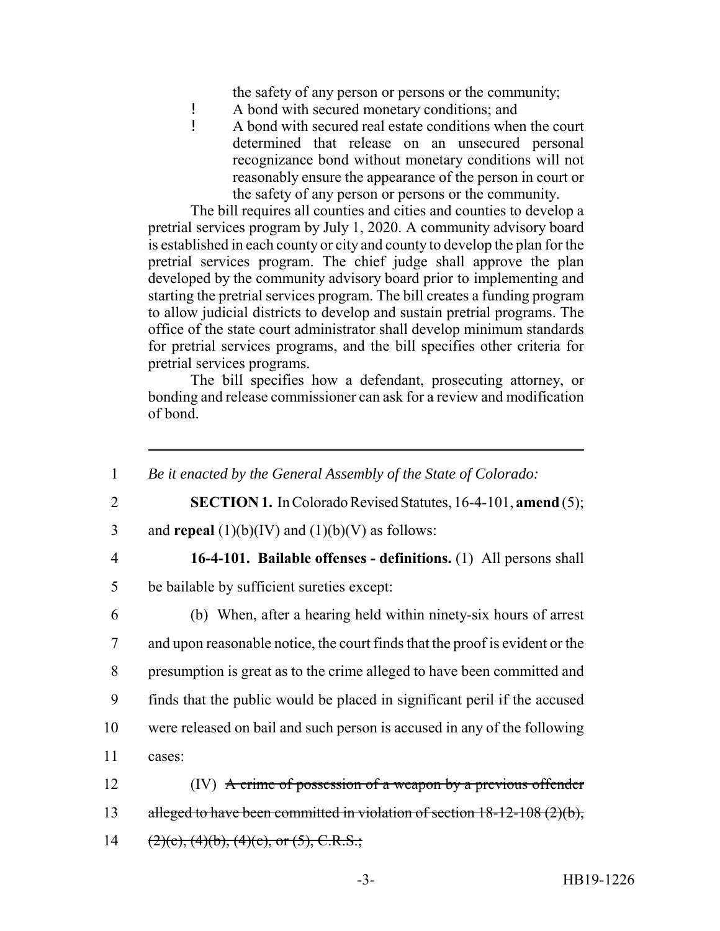the safety of any person or persons or the community;

- ! A bond with secured monetary conditions; and<br>
A bond with secured real estate conditions when
- ! A bond with secured real estate conditions when the court determined that release on an unsecured personal recognizance bond without monetary conditions will not reasonably ensure the appearance of the person in court or the safety of any person or persons or the community.

The bill requires all counties and cities and counties to develop a pretrial services program by July 1, 2020. A community advisory board is established in each county or city and county to develop the plan for the pretrial services program. The chief judge shall approve the plan developed by the community advisory board prior to implementing and starting the pretrial services program. The bill creates a funding program to allow judicial districts to develop and sustain pretrial programs. The office of the state court administrator shall develop minimum standards for pretrial services programs, and the bill specifies other criteria for pretrial services programs.

The bill specifies how a defendant, prosecuting attorney, or bonding and release commissioner can ask for a review and modification of bond.

 *Be it enacted by the General Assembly of the State of Colorado:* **SECTION 1.** In Colorado Revised Statutes, 16-4-101, **amend** (5); 3 and **repeal**  $(1)(b)(IV)$  and  $(1)(b)(V)$  as follows: **16-4-101. Bailable offenses - definitions.** (1) All persons shall be bailable by sufficient sureties except: (b) When, after a hearing held within ninety-six hours of arrest and upon reasonable notice, the court finds that the proof is evident or the presumption is great as to the crime alleged to have been committed and finds that the public would be placed in significant peril if the accused were released on bail and such person is accused in any of the following 11 cases: (IV) A crime of possession of a weapon by a previous offender 13 alleged to have been committed in violation of section 18-12-108 (2)(b),  $(2)(c)$ ,  $(4)(b)$ ,  $(4)(c)$ , or  $(5)$ , C.R.S.;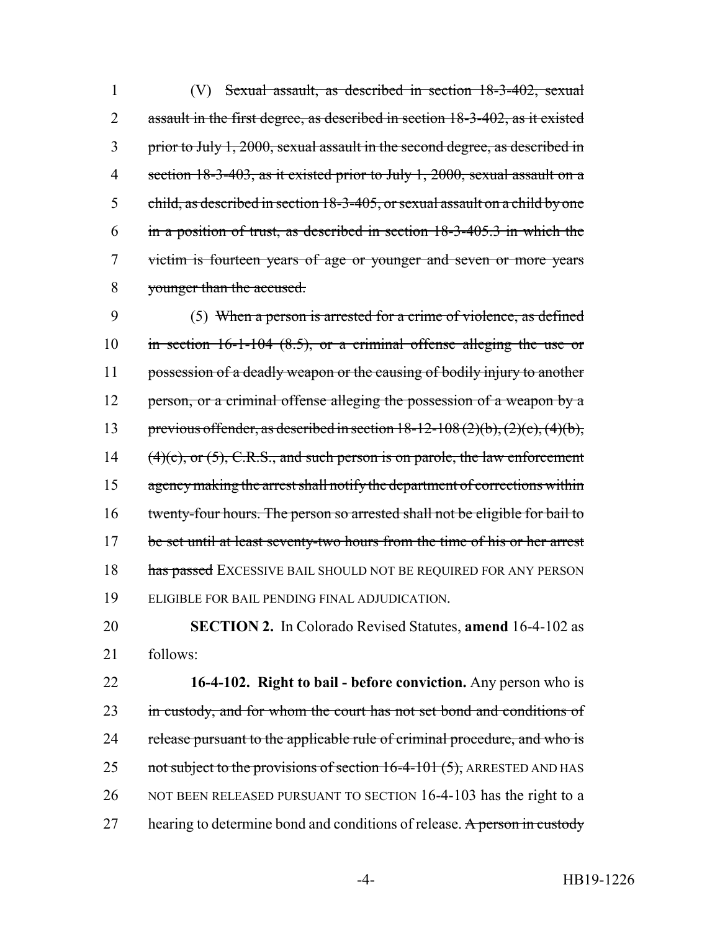(V) Sexual assault, as described in section 18-3-402, sexual 2 assault in the first degree, as described in section 18-3-402, as it existed prior to July 1, 2000, sexual assault in the second degree, as described in section 18-3-403, as it existed prior to July 1, 2000, sexual assault on a child, as described in section 18-3-405, or sexual assault on a child by one in a position of trust, as described in section 18-3-405.3 in which the victim is fourteen years of age or younger and seven or more years younger than the accused.

9 (5) When a person is arrested for a crime of violence, as defined 10 in section 16-1-104 (8.5), or a criminal offense alleging the use or 11 possession of a deadly weapon or the causing of bodily injury to another 12 person, or a criminal offense alleging the possession of a weapon by a 13 previous offender, as described in section  $18-12-108(2)(b)$ ,  $(2)(c)$ ,  $(4)(b)$ , 14  $(4)(c)$ , or  $(5)$ , C.R.S., and such person is on parole, the law enforcement 15 agency making the arrest shall notify the department of corrections within 16 twenty-four hours. The person so arrested shall not be eligible for bail to 17 be set until at least seventy-two hours from the time of his or her arrest 18 has passed EXCESSIVE BAIL SHOULD NOT BE REQUIRED FOR ANY PERSON 19 ELIGIBLE FOR BAIL PENDING FINAL ADJUDICATION.

20 **SECTION 2.** In Colorado Revised Statutes, **amend** 16-4-102 as 21 follows:

22 **16-4-102. Right to bail - before conviction.** Any person who is 23 in custody, and for whom the court has not set bond and conditions of 24 release pursuant to the applicable rule of criminal procedure, and who is 25 not subject to the provisions of section  $16-4-101(5)$ , ARRESTED AND HAS 26 NOT BEEN RELEASED PURSUANT TO SECTION 16-4-103 has the right to a 27 hearing to determine bond and conditions of release. A person in custody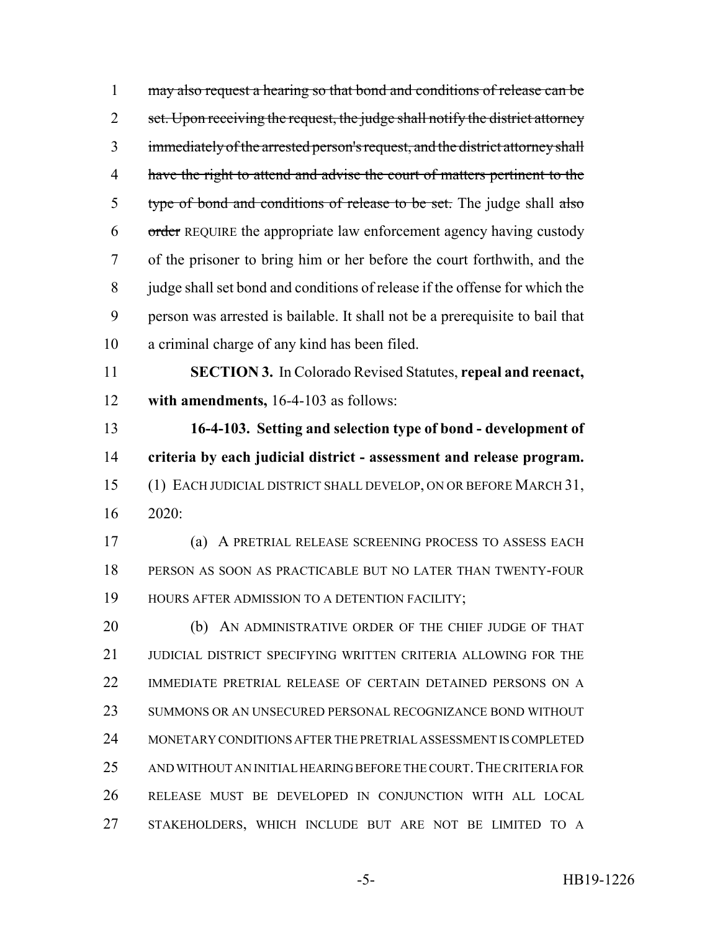1 may also request a hearing so that bond and conditions of release can be 2 set. Upon receiving the request, the judge shall notify the district attorney immediately of the arrested person's request, and the district attorney shall 4 have the right to attend and advise the court of matters pertinent to the 5 type of bond and conditions of release to be set. The judge shall also 6 order REQUIRE the appropriate law enforcement agency having custody of the prisoner to bring him or her before the court forthwith, and the judge shall set bond and conditions of release if the offense for which the person was arrested is bailable. It shall not be a prerequisite to bail that a criminal charge of any kind has been filed.

 **SECTION 3.** In Colorado Revised Statutes, **repeal and reenact, with amendments,** 16-4-103 as follows:

 **16-4-103. Setting and selection type of bond - development of criteria by each judicial district - assessment and release program.** (1) EACH JUDICIAL DISTRICT SHALL DEVELOP, ON OR BEFORE MARCH 31, 2020:

 (a) A PRETRIAL RELEASE SCREENING PROCESS TO ASSESS EACH PERSON AS SOON AS PRACTICABLE BUT NO LATER THAN TWENTY-FOUR 19 HOURS AFTER ADMISSION TO A DETENTION FACILITY;

20 (b) AN ADMINISTRATIVE ORDER OF THE CHIEF JUDGE OF THAT 21 JUDICIAL DISTRICT SPECIFYING WRITTEN CRITERIA ALLOWING FOR THE IMMEDIATE PRETRIAL RELEASE OF CERTAIN DETAINED PERSONS ON A SUMMONS OR AN UNSECURED PERSONAL RECOGNIZANCE BOND WITHOUT MONETARY CONDITIONS AFTER THE PRETRIAL ASSESSMENT IS COMPLETED 25 AND WITHOUT AN INITIAL HEARING BEFORE THE COURT. THE CRITERIA FOR RELEASE MUST BE DEVELOPED IN CONJUNCTION WITH ALL LOCAL STAKEHOLDERS, WHICH INCLUDE BUT ARE NOT BE LIMITED TO A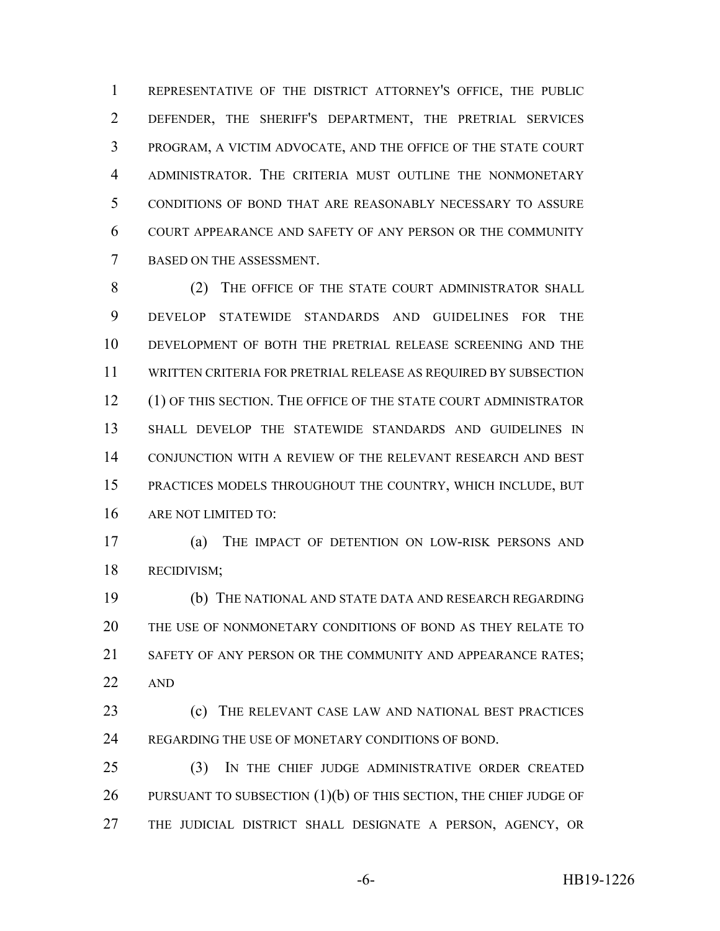REPRESENTATIVE OF THE DISTRICT ATTORNEY'S OFFICE, THE PUBLIC DEFENDER, THE SHERIFF'S DEPARTMENT, THE PRETRIAL SERVICES PROGRAM, A VICTIM ADVOCATE, AND THE OFFICE OF THE STATE COURT ADMINISTRATOR. THE CRITERIA MUST OUTLINE THE NONMONETARY CONDITIONS OF BOND THAT ARE REASONABLY NECESSARY TO ASSURE COURT APPEARANCE AND SAFETY OF ANY PERSON OR THE COMMUNITY BASED ON THE ASSESSMENT.

8 (2) THE OFFICE OF THE STATE COURT ADMINISTRATOR SHALL DEVELOP STATEWIDE STANDARDS AND GUIDELINES FOR THE DEVELOPMENT OF BOTH THE PRETRIAL RELEASE SCREENING AND THE WRITTEN CRITERIA FOR PRETRIAL RELEASE AS REQUIRED BY SUBSECTION 12 (1) OF THIS SECTION. THE OFFICE OF THE STATE COURT ADMINISTRATOR SHALL DEVELOP THE STATEWIDE STANDARDS AND GUIDELINES IN CONJUNCTION WITH A REVIEW OF THE RELEVANT RESEARCH AND BEST PRACTICES MODELS THROUGHOUT THE COUNTRY, WHICH INCLUDE, BUT ARE NOT LIMITED TO:

 (a) THE IMPACT OF DETENTION ON LOW-RISK PERSONS AND RECIDIVISM;

 (b) THE NATIONAL AND STATE DATA AND RESEARCH REGARDING THE USE OF NONMONETARY CONDITIONS OF BOND AS THEY RELATE TO 21 SAFETY OF ANY PERSON OR THE COMMUNITY AND APPEARANCE RATES: AND

 (c) THE RELEVANT CASE LAW AND NATIONAL BEST PRACTICES REGARDING THE USE OF MONETARY CONDITIONS OF BOND.

 (3) IN THE CHIEF JUDGE ADMINISTRATIVE ORDER CREATED 26 PURSUANT TO SUBSECTION (1)(b) OF THIS SECTION, THE CHIEF JUDGE OF THE JUDICIAL DISTRICT SHALL DESIGNATE A PERSON, AGENCY, OR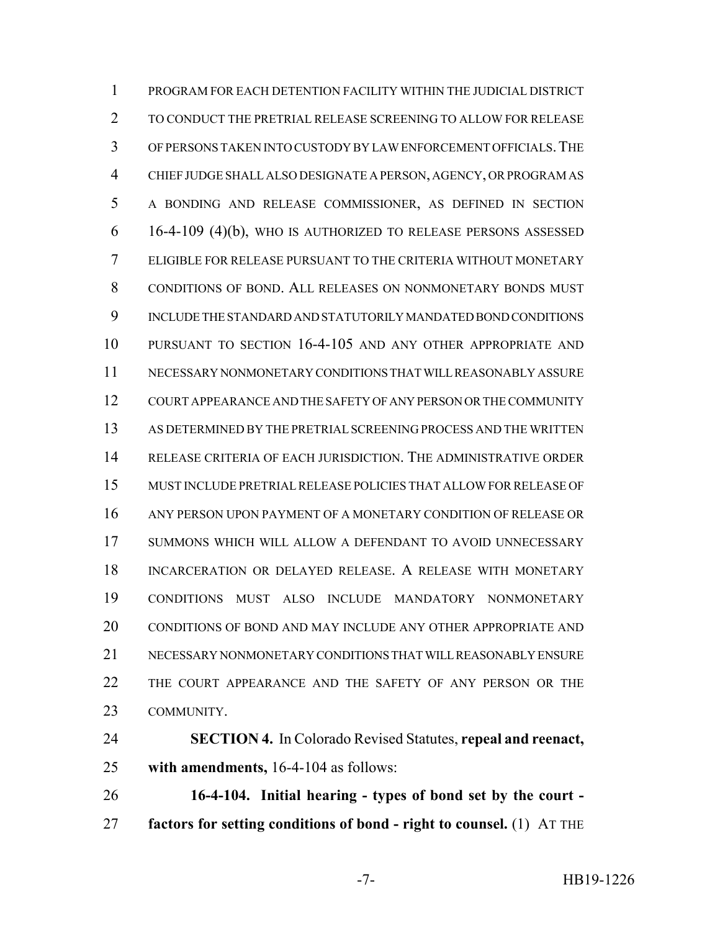PROGRAM FOR EACH DETENTION FACILITY WITHIN THE JUDICIAL DISTRICT TO CONDUCT THE PRETRIAL RELEASE SCREENING TO ALLOW FOR RELEASE OF PERSONS TAKEN INTO CUSTODY BY LAW ENFORCEMENT OFFICIALS.THE CHIEF JUDGE SHALL ALSO DESIGNATE A PERSON, AGENCY, OR PROGRAM AS A BONDING AND RELEASE COMMISSIONER, AS DEFINED IN SECTION 16-4-109 (4)(b), WHO IS AUTHORIZED TO RELEASE PERSONS ASSESSED ELIGIBLE FOR RELEASE PURSUANT TO THE CRITERIA WITHOUT MONETARY CONDITIONS OF BOND. ALL RELEASES ON NONMONETARY BONDS MUST INCLUDE THE STANDARD AND STATUTORILY MANDATED BOND CONDITIONS PURSUANT TO SECTION 16-4-105 AND ANY OTHER APPROPRIATE AND NECESSARY NONMONETARY CONDITIONS THAT WILL REASONABLY ASSURE COURT APPEARANCE AND THE SAFETY OF ANY PERSON OR THE COMMUNITY AS DETERMINED BY THE PRETRIAL SCREENING PROCESS AND THE WRITTEN RELEASE CRITERIA OF EACH JURISDICTION. THE ADMINISTRATIVE ORDER MUST INCLUDE PRETRIAL RELEASE POLICIES THAT ALLOW FOR RELEASE OF ANY PERSON UPON PAYMENT OF A MONETARY CONDITION OF RELEASE OR SUMMONS WHICH WILL ALLOW A DEFENDANT TO AVOID UNNECESSARY INCARCERATION OR DELAYED RELEASE. A RELEASE WITH MONETARY CONDITIONS MUST ALSO INCLUDE MANDATORY NONMONETARY CONDITIONS OF BOND AND MAY INCLUDE ANY OTHER APPROPRIATE AND NECESSARY NONMONETARY CONDITIONS THAT WILL REASONABLY ENSURE THE COURT APPEARANCE AND THE SAFETY OF ANY PERSON OR THE COMMUNITY.

 **SECTION 4.** In Colorado Revised Statutes, **repeal and reenact, with amendments,** 16-4-104 as follows:

 **16-4-104. Initial hearing - types of bond set by the court - factors for setting conditions of bond - right to counsel.** (1) AT THE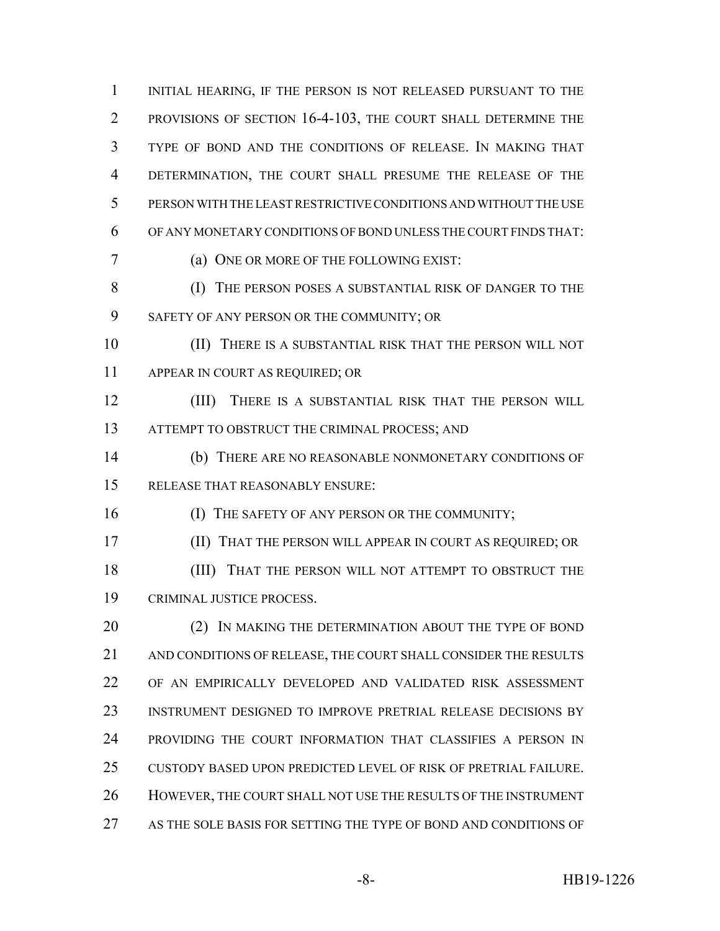1 INITIAL HEARING, IF THE PERSON IS NOT RELEASED PURSUANT TO THE PROVISIONS OF SECTION 16-4-103, THE COURT SHALL DETERMINE THE TYPE OF BOND AND THE CONDITIONS OF RELEASE. IN MAKING THAT DETERMINATION, THE COURT SHALL PRESUME THE RELEASE OF THE PERSON WITH THE LEAST RESTRICTIVE CONDITIONS AND WITHOUT THE USE OF ANY MONETARY CONDITIONS OF BOND UNLESS THE COURT FINDS THAT: (a) ONE OR MORE OF THE FOLLOWING EXIST: (I) THE PERSON POSES A SUBSTANTIAL RISK OF DANGER TO THE SAFETY OF ANY PERSON OR THE COMMUNITY; OR (II) THERE IS A SUBSTANTIAL RISK THAT THE PERSON WILL NOT APPEAR IN COURT AS REQUIRED; OR (III) THERE IS A SUBSTANTIAL RISK THAT THE PERSON WILL 13 ATTEMPT TO OBSTRUCT THE CRIMINAL PROCESS; AND

 (b) THERE ARE NO REASONABLE NONMONETARY CONDITIONS OF RELEASE THAT REASONABLY ENSURE:

**(I) THE SAFETY OF ANY PERSON OR THE COMMUNITY;** 

(II) THAT THE PERSON WILL APPEAR IN COURT AS REQUIRED; OR

18 (III) THAT THE PERSON WILL NOT ATTEMPT TO OBSTRUCT THE CRIMINAL JUSTICE PROCESS.

20 (2) IN MAKING THE DETERMINATION ABOUT THE TYPE OF BOND AND CONDITIONS OF RELEASE, THE COURT SHALL CONSIDER THE RESULTS OF AN EMPIRICALLY DEVELOPED AND VALIDATED RISK ASSESSMENT INSTRUMENT DESIGNED TO IMPROVE PRETRIAL RELEASE DECISIONS BY PROVIDING THE COURT INFORMATION THAT CLASSIFIES A PERSON IN CUSTODY BASED UPON PREDICTED LEVEL OF RISK OF PRETRIAL FAILURE. HOWEVER, THE COURT SHALL NOT USE THE RESULTS OF THE INSTRUMENT AS THE SOLE BASIS FOR SETTING THE TYPE OF BOND AND CONDITIONS OF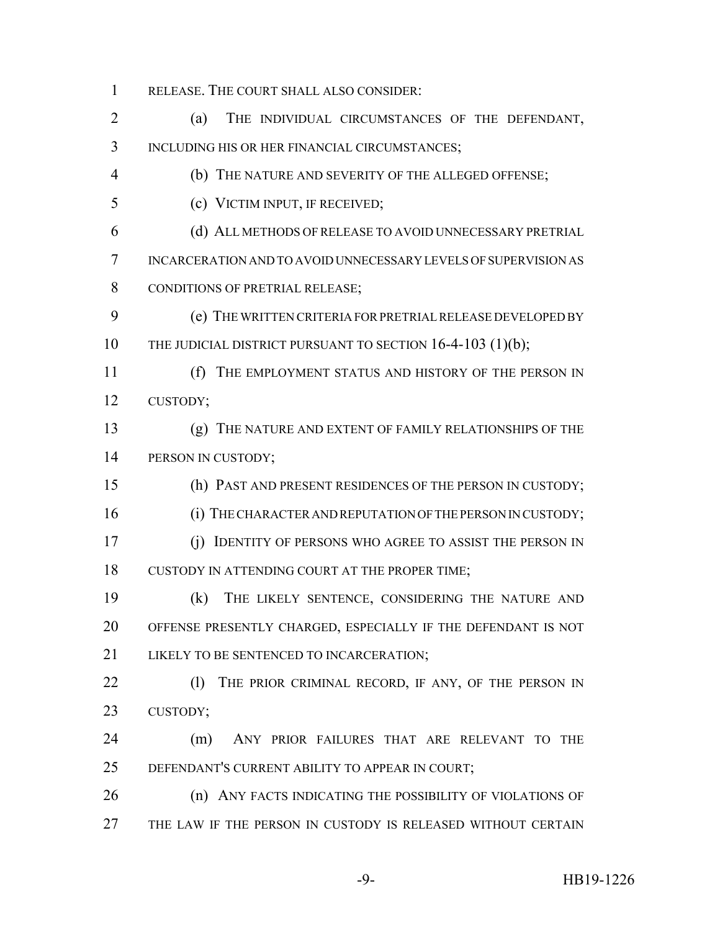RELEASE. THE COURT SHALL ALSO CONSIDER:

 (a) THE INDIVIDUAL CIRCUMSTANCES OF THE DEFENDANT, INCLUDING HIS OR HER FINANCIAL CIRCUMSTANCES;

(b) THE NATURE AND SEVERITY OF THE ALLEGED OFFENSE;

(c) VICTIM INPUT, IF RECEIVED;

 (d) ALL METHODS OF RELEASE TO AVOID UNNECESSARY PRETRIAL INCARCERATION AND TO AVOID UNNECESSARY LEVELS OF SUPERVISION AS 8 CONDITIONS OF PRETRIAL RELEASE;

 (e) THE WRITTEN CRITERIA FOR PRETRIAL RELEASE DEVELOPED BY 10 THE JUDICIAL DISTRICT PURSUANT TO SECTION 16-4-103 (1)(b);

 (f) THE EMPLOYMENT STATUS AND HISTORY OF THE PERSON IN CUSTODY;

 (g) THE NATURE AND EXTENT OF FAMILY RELATIONSHIPS OF THE 14 PERSON IN CUSTODY;

(h) PAST AND PRESENT RESIDENCES OF THE PERSON IN CUSTODY;

16 (i) THE CHARACTER AND REPUTATION OF THE PERSON IN CUSTODY;

 (j) IDENTITY OF PERSONS WHO AGREE TO ASSIST THE PERSON IN CUSTODY IN ATTENDING COURT AT THE PROPER TIME;

 (k) THE LIKELY SENTENCE, CONSIDERING THE NATURE AND OFFENSE PRESENTLY CHARGED, ESPECIALLY IF THE DEFENDANT IS NOT 21 LIKELY TO BE SENTENCED TO INCARCERATION;

22 (1) THE PRIOR CRIMINAL RECORD, IF ANY, OF THE PERSON IN CUSTODY;

 (m) ANY PRIOR FAILURES THAT ARE RELEVANT TO THE DEFENDANT'S CURRENT ABILITY TO APPEAR IN COURT;

**(n) ANY FACTS INDICATING THE POSSIBILITY OF VIOLATIONS OF** THE LAW IF THE PERSON IN CUSTODY IS RELEASED WITHOUT CERTAIN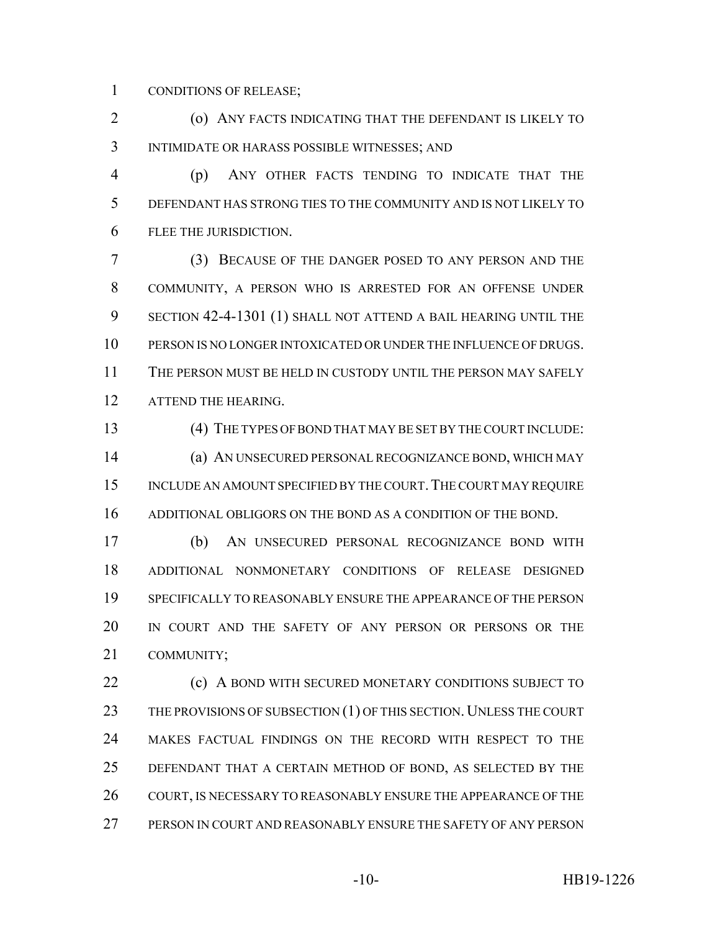CONDITIONS OF RELEASE;

 (o) ANY FACTS INDICATING THAT THE DEFENDANT IS LIKELY TO INTIMIDATE OR HARASS POSSIBLE WITNESSES; AND

 (p) ANY OTHER FACTS TENDING TO INDICATE THAT THE DEFENDANT HAS STRONG TIES TO THE COMMUNITY AND IS NOT LIKELY TO FLEE THE JURISDICTION.

 (3) BECAUSE OF THE DANGER POSED TO ANY PERSON AND THE COMMUNITY, A PERSON WHO IS ARRESTED FOR AN OFFENSE UNDER SECTION 42-4-1301 (1) SHALL NOT ATTEND A BAIL HEARING UNTIL THE PERSON IS NO LONGER INTOXICATED OR UNDER THE INFLUENCE OF DRUGS. THE PERSON MUST BE HELD IN CUSTODY UNTIL THE PERSON MAY SAFELY 12 ATTEND THE HEARING.

 (4) THE TYPES OF BOND THAT MAY BE SET BY THE COURT INCLUDE: (a) AN UNSECURED PERSONAL RECOGNIZANCE BOND, WHICH MAY 15 INCLUDE AN AMOUNT SPECIFIED BY THE COURT. THE COURT MAY REQUIRE ADDITIONAL OBLIGORS ON THE BOND AS A CONDITION OF THE BOND.

 (b) AN UNSECURED PERSONAL RECOGNIZANCE BOND WITH ADDITIONAL NONMONETARY CONDITIONS OF RELEASE DESIGNED SPECIFICALLY TO REASONABLY ENSURE THE APPEARANCE OF THE PERSON IN COURT AND THE SAFETY OF ANY PERSON OR PERSONS OR THE COMMUNITY;

**(c)** A BOND WITH SECURED MONETARY CONDITIONS SUBJECT TO 23 THE PROVISIONS OF SUBSECTION (1) OF THIS SECTION. UNLESS THE COURT MAKES FACTUAL FINDINGS ON THE RECORD WITH RESPECT TO THE DEFENDANT THAT A CERTAIN METHOD OF BOND, AS SELECTED BY THE 26 COURT, IS NECESSARY TO REASONABLY ENSURE THE APPEARANCE OF THE PERSON IN COURT AND REASONABLY ENSURE THE SAFETY OF ANY PERSON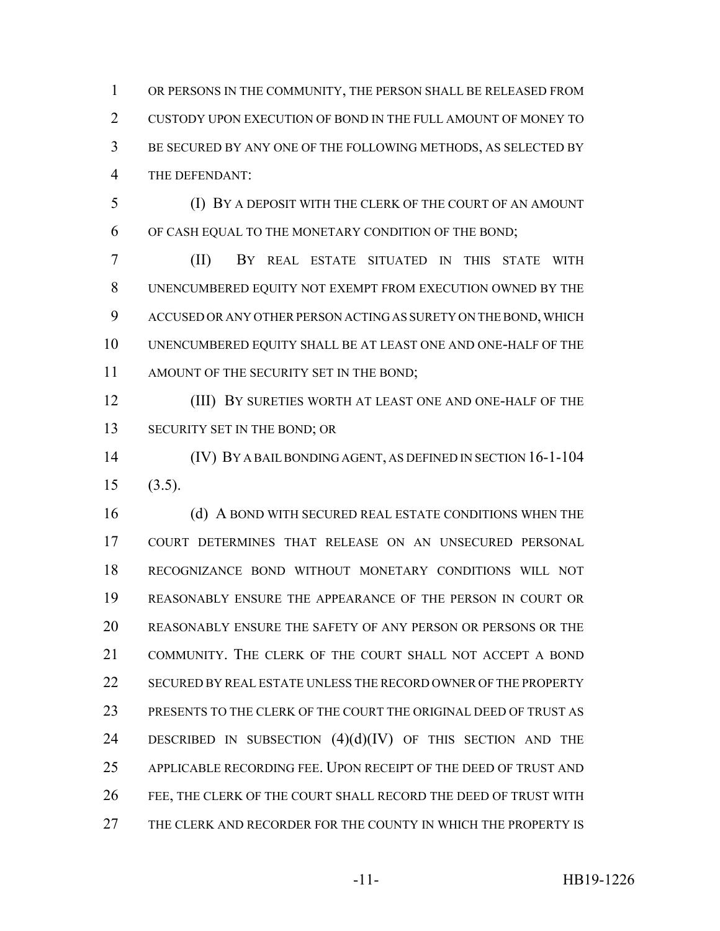OR PERSONS IN THE COMMUNITY, THE PERSON SHALL BE RELEASED FROM CUSTODY UPON EXECUTION OF BOND IN THE FULL AMOUNT OF MONEY TO BE SECURED BY ANY ONE OF THE FOLLOWING METHODS, AS SELECTED BY THE DEFENDANT:

 (I) BY A DEPOSIT WITH THE CLERK OF THE COURT OF AN AMOUNT OF CASH EQUAL TO THE MONETARY CONDITION OF THE BOND;

 (II) BY REAL ESTATE SITUATED IN THIS STATE WITH UNENCUMBERED EQUITY NOT EXEMPT FROM EXECUTION OWNED BY THE ACCUSED OR ANY OTHER PERSON ACTING AS SURETY ON THE BOND, WHICH UNENCUMBERED EQUITY SHALL BE AT LEAST ONE AND ONE-HALF OF THE 11 AMOUNT OF THE SECURITY SET IN THE BOND;

 (III) BY SURETIES WORTH AT LEAST ONE AND ONE-HALF OF THE 13 SECURITY SET IN THE BOND; OR

 (IV) BY A BAIL BONDING AGENT, AS DEFINED IN SECTION 16-1-104 (3.5).

16 (d) A BOND WITH SECURED REAL ESTATE CONDITIONS WHEN THE COURT DETERMINES THAT RELEASE ON AN UNSECURED PERSONAL RECOGNIZANCE BOND WITHOUT MONETARY CONDITIONS WILL NOT REASONABLY ENSURE THE APPEARANCE OF THE PERSON IN COURT OR REASONABLY ENSURE THE SAFETY OF ANY PERSON OR PERSONS OR THE COMMUNITY. THE CLERK OF THE COURT SHALL NOT ACCEPT A BOND SECURED BY REAL ESTATE UNLESS THE RECORD OWNER OF THE PROPERTY PRESENTS TO THE CLERK OF THE COURT THE ORIGINAL DEED OF TRUST AS 24 DESCRIBED IN SUBSECTION  $(4)(d)(IV)$  OF THIS SECTION AND THE APPLICABLE RECORDING FEE. UPON RECEIPT OF THE DEED OF TRUST AND FEE, THE CLERK OF THE COURT SHALL RECORD THE DEED OF TRUST WITH THE CLERK AND RECORDER FOR THE COUNTY IN WHICH THE PROPERTY IS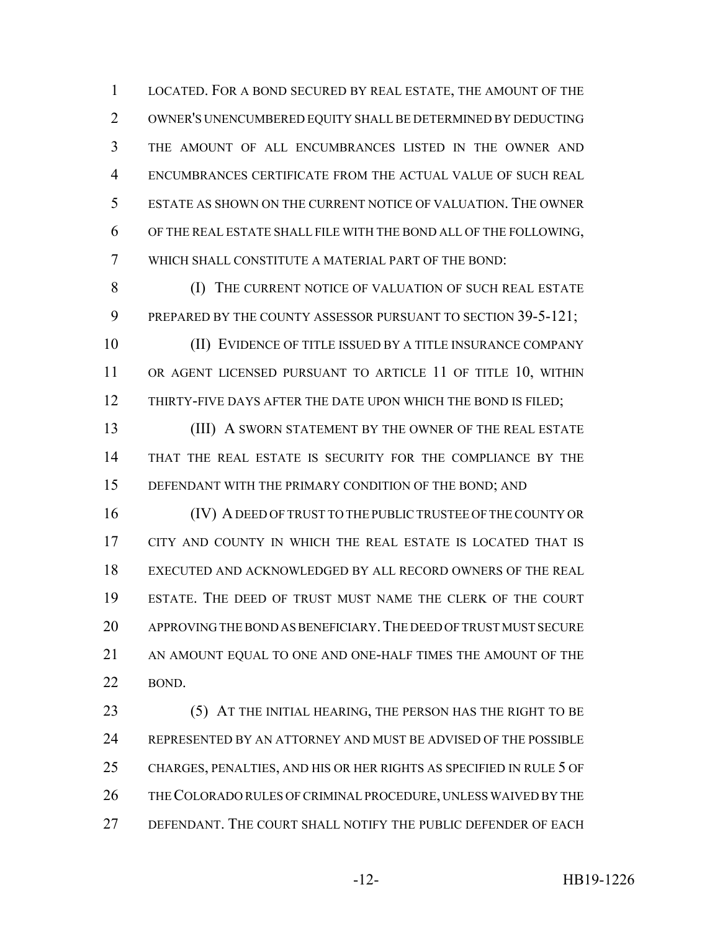LOCATED. FOR A BOND SECURED BY REAL ESTATE, THE AMOUNT OF THE OWNER'S UNENCUMBERED EQUITY SHALL BE DETERMINED BY DEDUCTING THE AMOUNT OF ALL ENCUMBRANCES LISTED IN THE OWNER AND ENCUMBRANCES CERTIFICATE FROM THE ACTUAL VALUE OF SUCH REAL ESTATE AS SHOWN ON THE CURRENT NOTICE OF VALUATION. THE OWNER OF THE REAL ESTATE SHALL FILE WITH THE BOND ALL OF THE FOLLOWING, WHICH SHALL CONSTITUTE A MATERIAL PART OF THE BOND:

8 (I) THE CURRENT NOTICE OF VALUATION OF SUCH REAL ESTATE 9 PREPARED BY THE COUNTY ASSESSOR PURSUANT TO SECTION 39-5-121;

 (II) EVIDENCE OF TITLE ISSUED BY A TITLE INSURANCE COMPANY 11 OR AGENT LICENSED PURSUANT TO ARTICLE 11 OF TITLE 10, WITHIN 12 THIRTY-FIVE DAYS AFTER THE DATE UPON WHICH THE BOND IS FILED;

13 (III) A SWORN STATEMENT BY THE OWNER OF THE REAL ESTATE THAT THE REAL ESTATE IS SECURITY FOR THE COMPLIANCE BY THE DEFENDANT WITH THE PRIMARY CONDITION OF THE BOND; AND

 (IV) A DEED OF TRUST TO THE PUBLIC TRUSTEE OF THE COUNTY OR CITY AND COUNTY IN WHICH THE REAL ESTATE IS LOCATED THAT IS EXECUTED AND ACKNOWLEDGED BY ALL RECORD OWNERS OF THE REAL ESTATE. THE DEED OF TRUST MUST NAME THE CLERK OF THE COURT APPROVING THE BOND AS BENEFICIARY.THE DEED OF TRUST MUST SECURE AN AMOUNT EQUAL TO ONE AND ONE-HALF TIMES THE AMOUNT OF THE BOND.

23 (5) AT THE INITIAL HEARING, THE PERSON HAS THE RIGHT TO BE 24 REPRESENTED BY AN ATTORNEY AND MUST BE ADVISED OF THE POSSIBLE CHARGES, PENALTIES, AND HIS OR HER RIGHTS AS SPECIFIED IN RULE 5 OF THE COLORADO RULES OF CRIMINAL PROCEDURE, UNLESS WAIVED BY THE DEFENDANT. THE COURT SHALL NOTIFY THE PUBLIC DEFENDER OF EACH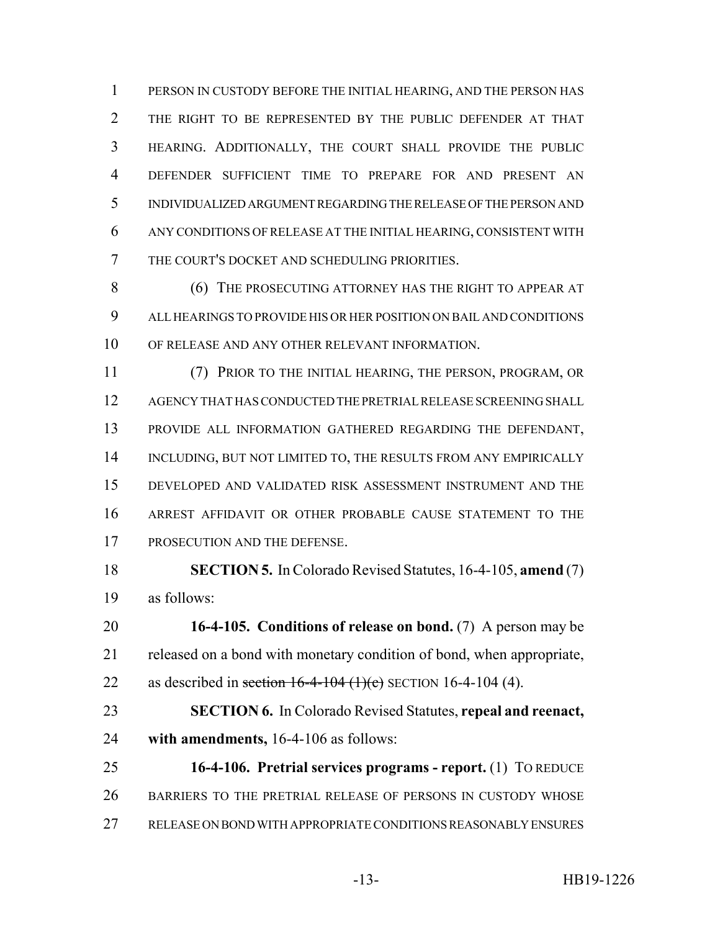PERSON IN CUSTODY BEFORE THE INITIAL HEARING, AND THE PERSON HAS THE RIGHT TO BE REPRESENTED BY THE PUBLIC DEFENDER AT THAT HEARING. ADDITIONALLY, THE COURT SHALL PROVIDE THE PUBLIC DEFENDER SUFFICIENT TIME TO PREPARE FOR AND PRESENT AN INDIVIDUALIZED ARGUMENT REGARDING THE RELEASE OF THE PERSON AND ANY CONDITIONS OF RELEASE AT THE INITIAL HEARING, CONSISTENT WITH THE COURT'S DOCKET AND SCHEDULING PRIORITIES.

**(6) THE PROSECUTING ATTORNEY HAS THE RIGHT TO APPEAR AT**  ALL HEARINGS TO PROVIDE HIS OR HER POSITION ON BAIL AND CONDITIONS OF RELEASE AND ANY OTHER RELEVANT INFORMATION.

 (7) PRIOR TO THE INITIAL HEARING, THE PERSON, PROGRAM, OR AGENCY THAT HAS CONDUCTED THE PRETRIAL RELEASE SCREENING SHALL PROVIDE ALL INFORMATION GATHERED REGARDING THE DEFENDANT, 14 INCLUDING, BUT NOT LIMITED TO, THE RESULTS FROM ANY EMPIRICALLY DEVELOPED AND VALIDATED RISK ASSESSMENT INSTRUMENT AND THE ARREST AFFIDAVIT OR OTHER PROBABLE CAUSE STATEMENT TO THE PROSECUTION AND THE DEFENSE.

 **SECTION 5.** In Colorado Revised Statutes, 16-4-105, **amend** (7) as follows:

 **16-4-105. Conditions of release on bond.** (7) A person may be released on a bond with monetary condition of bond, when appropriate, 22 as described in section  $16-4-104$  (1)(c) SECTION 16-4-104 (4).

 **SECTION 6.** In Colorado Revised Statutes, **repeal and reenact, with amendments,** 16-4-106 as follows:

 **16-4-106. Pretrial services programs - report.** (1) TO REDUCE BARRIERS TO THE PRETRIAL RELEASE OF PERSONS IN CUSTODY WHOSE RELEASE ON BOND WITH APPROPRIATE CONDITIONS REASONABLY ENSURES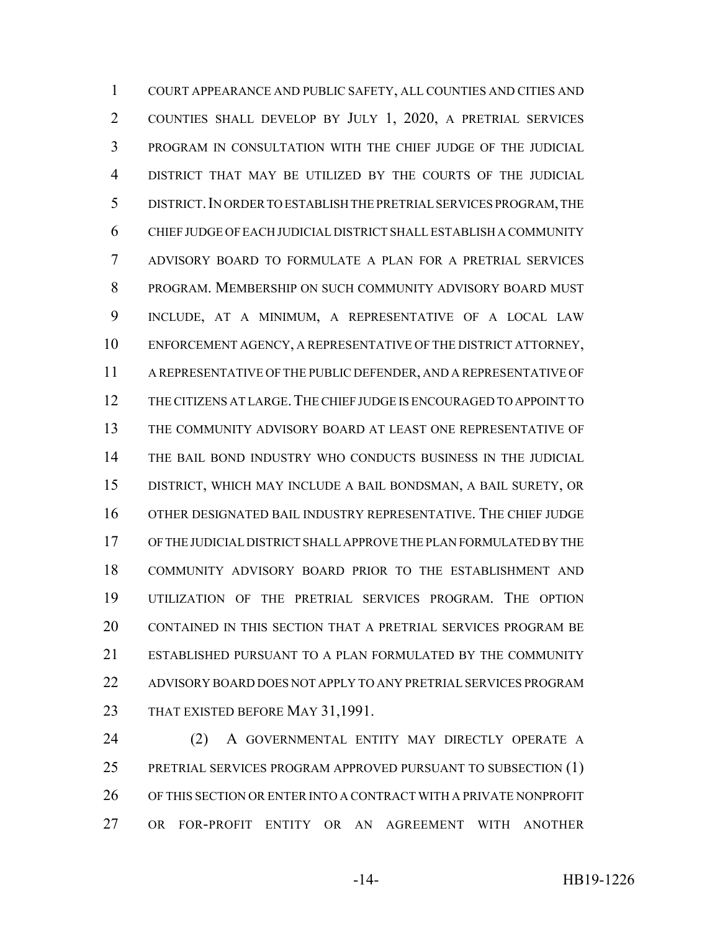COURT APPEARANCE AND PUBLIC SAFETY, ALL COUNTIES AND CITIES AND COUNTIES SHALL DEVELOP BY JULY 1, 2020, A PRETRIAL SERVICES PROGRAM IN CONSULTATION WITH THE CHIEF JUDGE OF THE JUDICIAL DISTRICT THAT MAY BE UTILIZED BY THE COURTS OF THE JUDICIAL DISTRICT.IN ORDER TO ESTABLISH THE PRETRIAL SERVICES PROGRAM, THE CHIEF JUDGE OF EACH JUDICIAL DISTRICT SHALL ESTABLISH A COMMUNITY ADVISORY BOARD TO FORMULATE A PLAN FOR A PRETRIAL SERVICES PROGRAM. MEMBERSHIP ON SUCH COMMUNITY ADVISORY BOARD MUST INCLUDE, AT A MINIMUM, A REPRESENTATIVE OF A LOCAL LAW ENFORCEMENT AGENCY, A REPRESENTATIVE OF THE DISTRICT ATTORNEY, A REPRESENTATIVE OF THE PUBLIC DEFENDER, AND A REPRESENTATIVE OF THE CITIZENS AT LARGE.THE CHIEF JUDGE IS ENCOURAGED TO APPOINT TO THE COMMUNITY ADVISORY BOARD AT LEAST ONE REPRESENTATIVE OF THE BAIL BOND INDUSTRY WHO CONDUCTS BUSINESS IN THE JUDICIAL DISTRICT, WHICH MAY INCLUDE A BAIL BONDSMAN, A BAIL SURETY, OR OTHER DESIGNATED BAIL INDUSTRY REPRESENTATIVE. THE CHIEF JUDGE OF THE JUDICIAL DISTRICT SHALL APPROVE THE PLAN FORMULATED BY THE COMMUNITY ADVISORY BOARD PRIOR TO THE ESTABLISHMENT AND UTILIZATION OF THE PRETRIAL SERVICES PROGRAM. THE OPTION CONTAINED IN THIS SECTION THAT A PRETRIAL SERVICES PROGRAM BE ESTABLISHED PURSUANT TO A PLAN FORMULATED BY THE COMMUNITY ADVISORY BOARD DOES NOT APPLY TO ANY PRETRIAL SERVICES PROGRAM 23 THAT EXISTED BEFORE MAY 31,1991.

 (2) A GOVERNMENTAL ENTITY MAY DIRECTLY OPERATE A PRETRIAL SERVICES PROGRAM APPROVED PURSUANT TO SUBSECTION (1) OF THIS SECTION OR ENTER INTO A CONTRACT WITH A PRIVATE NONPROFIT OR FOR-PROFIT ENTITY OR AN AGREEMENT WITH ANOTHER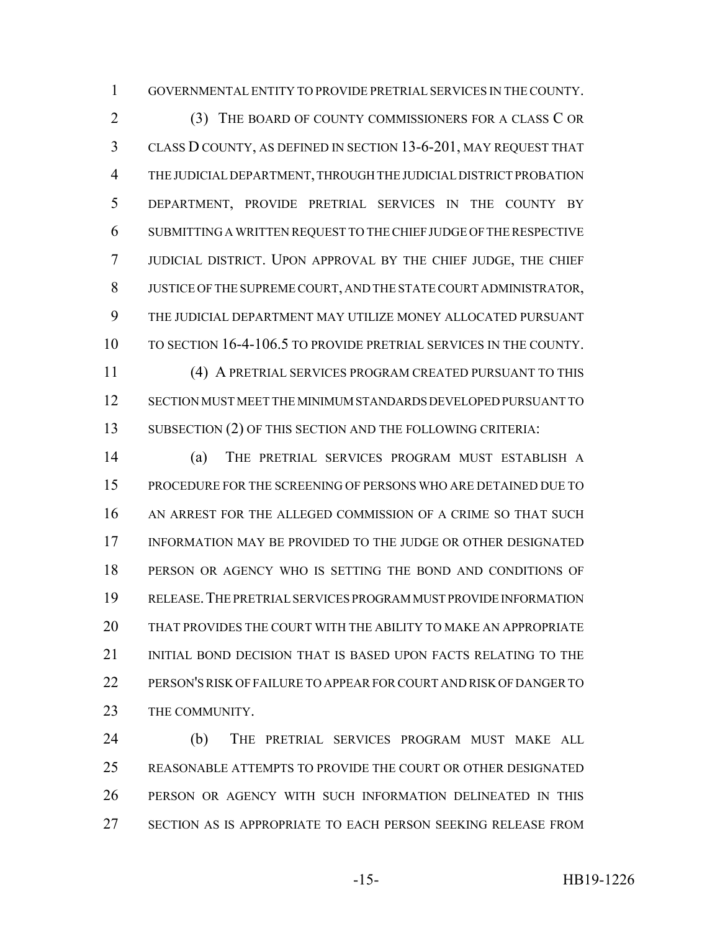GOVERNMENTAL ENTITY TO PROVIDE PRETRIAL SERVICES IN THE COUNTY.

 (3) THE BOARD OF COUNTY COMMISSIONERS FOR A CLASS C OR CLASS D COUNTY, AS DEFINED IN SECTION 13-6-201, MAY REQUEST THAT THE JUDICIAL DEPARTMENT, THROUGH THE JUDICIAL DISTRICT PROBATION DEPARTMENT, PROVIDE PRETRIAL SERVICES IN THE COUNTY BY SUBMITTING A WRITTEN REQUEST TO THE CHIEF JUDGE OF THE RESPECTIVE JUDICIAL DISTRICT. UPON APPROVAL BY THE CHIEF JUDGE, THE CHIEF JUSTICE OF THE SUPREME COURT, AND THE STATE COURT ADMINISTRATOR, THE JUDICIAL DEPARTMENT MAY UTILIZE MONEY ALLOCATED PURSUANT TO SECTION 16-4-106.5 TO PROVIDE PRETRIAL SERVICES IN THE COUNTY. (4) A PRETRIAL SERVICES PROGRAM CREATED PURSUANT TO THIS

 SECTION MUST MEET THE MINIMUM STANDARDS DEVELOPED PURSUANT TO 13 SUBSECTION (2) OF THIS SECTION AND THE FOLLOWING CRITERIA:

 (a) THE PRETRIAL SERVICES PROGRAM MUST ESTABLISH A PROCEDURE FOR THE SCREENING OF PERSONS WHO ARE DETAINED DUE TO AN ARREST FOR THE ALLEGED COMMISSION OF A CRIME SO THAT SUCH INFORMATION MAY BE PROVIDED TO THE JUDGE OR OTHER DESIGNATED PERSON OR AGENCY WHO IS SETTING THE BOND AND CONDITIONS OF RELEASE.THE PRETRIAL SERVICES PROGRAM MUST PROVIDE INFORMATION THAT PROVIDES THE COURT WITH THE ABILITY TO MAKE AN APPROPRIATE INITIAL BOND DECISION THAT IS BASED UPON FACTS RELATING TO THE PERSON'S RISK OF FAILURE TO APPEAR FOR COURT AND RISK OF DANGER TO 23 THE COMMUNITY.

 (b) THE PRETRIAL SERVICES PROGRAM MUST MAKE ALL REASONABLE ATTEMPTS TO PROVIDE THE COURT OR OTHER DESIGNATED PERSON OR AGENCY WITH SUCH INFORMATION DELINEATED IN THIS SECTION AS IS APPROPRIATE TO EACH PERSON SEEKING RELEASE FROM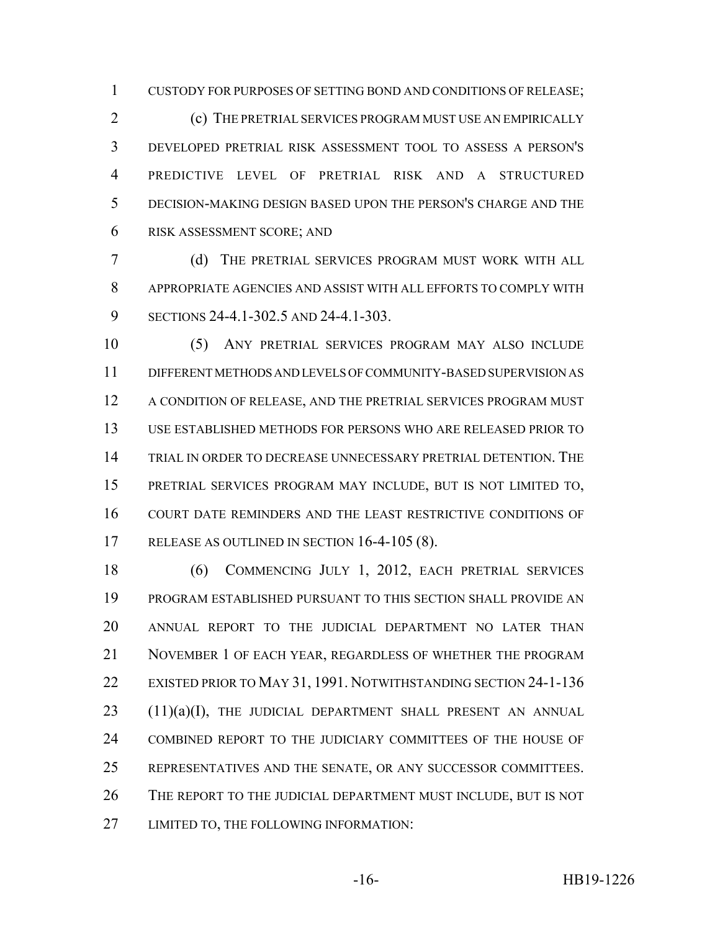CUSTODY FOR PURPOSES OF SETTING BOND AND CONDITIONS OF RELEASE;

 (c) THE PRETRIAL SERVICES PROGRAM MUST USE AN EMPIRICALLY DEVELOPED PRETRIAL RISK ASSESSMENT TOOL TO ASSESS A PERSON'S PREDICTIVE LEVEL OF PRETRIAL RISK AND A STRUCTURED DECISION-MAKING DESIGN BASED UPON THE PERSON'S CHARGE AND THE RISK ASSESSMENT SCORE; AND

 (d) THE PRETRIAL SERVICES PROGRAM MUST WORK WITH ALL APPROPRIATE AGENCIES AND ASSIST WITH ALL EFFORTS TO COMPLY WITH SECTIONS 24-4.1-302.5 AND 24-4.1-303.

 (5) ANY PRETRIAL SERVICES PROGRAM MAY ALSO INCLUDE DIFFERENT METHODS AND LEVELS OF COMMUNITY-BASED SUPERVISION AS 12 A CONDITION OF RELEASE, AND THE PRETRIAL SERVICES PROGRAM MUST USE ESTABLISHED METHODS FOR PERSONS WHO ARE RELEASED PRIOR TO TRIAL IN ORDER TO DECREASE UNNECESSARY PRETRIAL DETENTION. THE PRETRIAL SERVICES PROGRAM MAY INCLUDE, BUT IS NOT LIMITED TO, COURT DATE REMINDERS AND THE LEAST RESTRICTIVE CONDITIONS OF RELEASE AS OUTLINED IN SECTION 16-4-105 (8).

 (6) COMMENCING JULY 1, 2012, EACH PRETRIAL SERVICES PROGRAM ESTABLISHED PURSUANT TO THIS SECTION SHALL PROVIDE AN ANNUAL REPORT TO THE JUDICIAL DEPARTMENT NO LATER THAN NOVEMBER 1 OF EACH YEAR, REGARDLESS OF WHETHER THE PROGRAM EXISTED PRIOR TO MAY 31, 1991. NOTWITHSTANDING SECTION 24-1-136 23 (11)(a)(I), THE JUDICIAL DEPARTMENT SHALL PRESENT AN ANNUAL COMBINED REPORT TO THE JUDICIARY COMMITTEES OF THE HOUSE OF REPRESENTATIVES AND THE SENATE, OR ANY SUCCESSOR COMMITTEES. THE REPORT TO THE JUDICIAL DEPARTMENT MUST INCLUDE, BUT IS NOT LIMITED TO, THE FOLLOWING INFORMATION: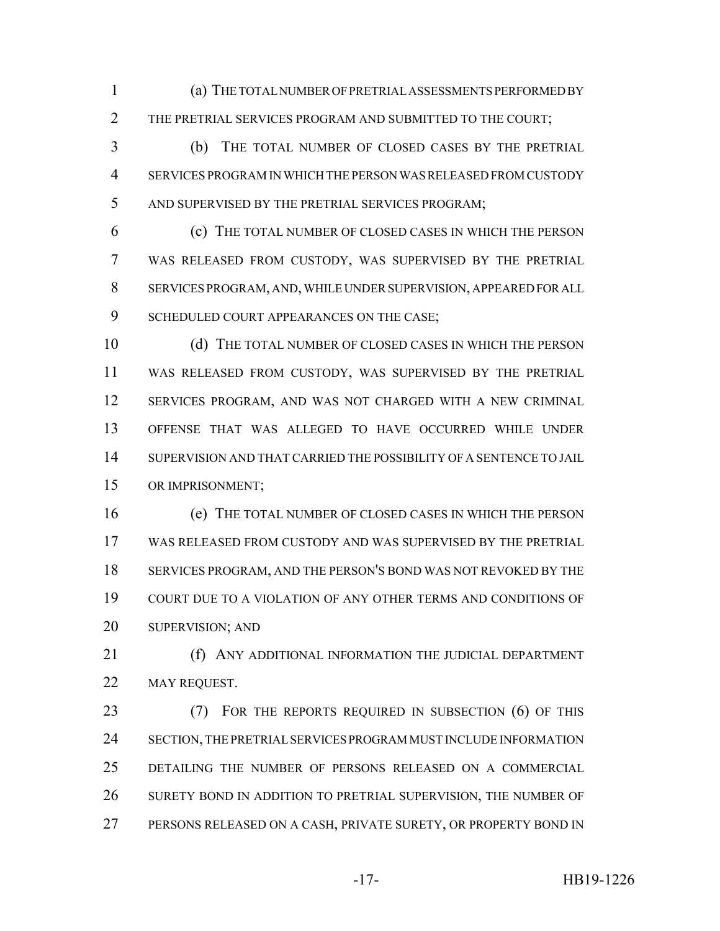(a) THE TOTAL NUMBER OF PRETRIAL ASSESSMENTS PERFORMED BY THE PRETRIAL SERVICES PROGRAM AND SUBMITTED TO THE COURT;

 (b) THE TOTAL NUMBER OF CLOSED CASES BY THE PRETRIAL SERVICES PROGRAM IN WHICH THE PERSON WAS RELEASED FROM CUSTODY AND SUPERVISED BY THE PRETRIAL SERVICES PROGRAM;

 (c) THE TOTAL NUMBER OF CLOSED CASES IN WHICH THE PERSON WAS RELEASED FROM CUSTODY, WAS SUPERVISED BY THE PRETRIAL SERVICES PROGRAM, AND, WHILE UNDER SUPERVISION, APPEARED FOR ALL 9 SCHEDULED COURT APPEARANCES ON THE CASE;

 (d) THE TOTAL NUMBER OF CLOSED CASES IN WHICH THE PERSON WAS RELEASED FROM CUSTODY, WAS SUPERVISED BY THE PRETRIAL SERVICES PROGRAM, AND WAS NOT CHARGED WITH A NEW CRIMINAL OFFENSE THAT WAS ALLEGED TO HAVE OCCURRED WHILE UNDER SUPERVISION AND THAT CARRIED THE POSSIBILITY OF A SENTENCE TO JAIL OR IMPRISONMENT;

 (e) THE TOTAL NUMBER OF CLOSED CASES IN WHICH THE PERSON WAS RELEASED FROM CUSTODY AND WAS SUPERVISED BY THE PRETRIAL SERVICES PROGRAM, AND THE PERSON'S BOND WAS NOT REVOKED BY THE COURT DUE TO A VIOLATION OF ANY OTHER TERMS AND CONDITIONS OF 20 SUPERVISION; AND

**(f) ANY ADDITIONAL INFORMATION THE JUDICIAL DEPARTMENT** 22 MAY REQUEST.

23 (7) FOR THE REPORTS REQUIRED IN SUBSECTION (6) OF THIS SECTION, THE PRETRIAL SERVICES PROGRAM MUST INCLUDE INFORMATION DETAILING THE NUMBER OF PERSONS RELEASED ON A COMMERCIAL SURETY BOND IN ADDITION TO PRETRIAL SUPERVISION, THE NUMBER OF PERSONS RELEASED ON A CASH, PRIVATE SURETY, OR PROPERTY BOND IN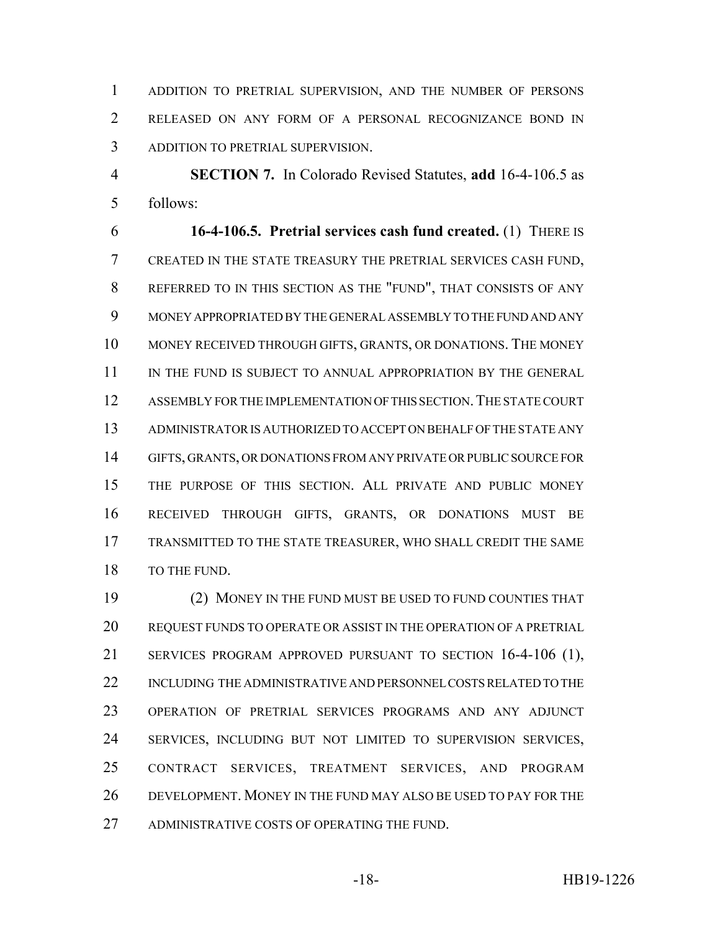ADDITION TO PRETRIAL SUPERVISION, AND THE NUMBER OF PERSONS RELEASED ON ANY FORM OF A PERSONAL RECOGNIZANCE BOND IN ADDITION TO PRETRIAL SUPERVISION.

 **SECTION 7.** In Colorado Revised Statutes, **add** 16-4-106.5 as follows:

 **16-4-106.5. Pretrial services cash fund created.** (1) THERE IS CREATED IN THE STATE TREASURY THE PRETRIAL SERVICES CASH FUND, REFERRED TO IN THIS SECTION AS THE "FUND", THAT CONSISTS OF ANY MONEY APPROPRIATED BY THE GENERAL ASSEMBLY TO THE FUND AND ANY MONEY RECEIVED THROUGH GIFTS, GRANTS, OR DONATIONS. THE MONEY IN THE FUND IS SUBJECT TO ANNUAL APPROPRIATION BY THE GENERAL 12 ASSEMBLY FOR THE IMPLEMENTATION OF THIS SECTION. THE STATE COURT ADMINISTRATOR IS AUTHORIZED TO ACCEPT ON BEHALF OF THE STATE ANY GIFTS, GRANTS, OR DONATIONS FROM ANY PRIVATE OR PUBLIC SOURCE FOR THE PURPOSE OF THIS SECTION. ALL PRIVATE AND PUBLIC MONEY RECEIVED THROUGH GIFTS, GRANTS, OR DONATIONS MUST BE TRANSMITTED TO THE STATE TREASURER, WHO SHALL CREDIT THE SAME 18 TO THE FUND.

 (2) MONEY IN THE FUND MUST BE USED TO FUND COUNTIES THAT REQUEST FUNDS TO OPERATE OR ASSIST IN THE OPERATION OF A PRETRIAL SERVICES PROGRAM APPROVED PURSUANT TO SECTION 16-4-106 (1), INCLUDING THE ADMINISTRATIVE AND PERSONNEL COSTS RELATED TO THE OPERATION OF PRETRIAL SERVICES PROGRAMS AND ANY ADJUNCT SERVICES, INCLUDING BUT NOT LIMITED TO SUPERVISION SERVICES, CONTRACT SERVICES, TREATMENT SERVICES, AND PROGRAM DEVELOPMENT. MONEY IN THE FUND MAY ALSO BE USED TO PAY FOR THE ADMINISTRATIVE COSTS OF OPERATING THE FUND.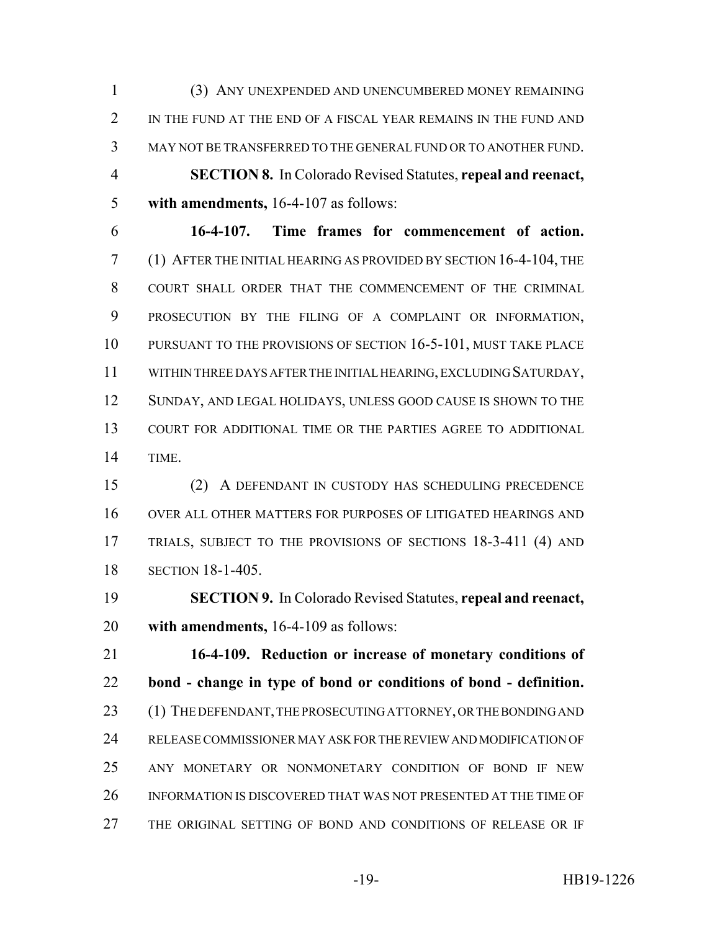(3) ANY UNEXPENDED AND UNENCUMBERED MONEY REMAINING 2 IN THE FUND AT THE END OF A FISCAL YEAR REMAINS IN THE FUND AND MAY NOT BE TRANSFERRED TO THE GENERAL FUND OR TO ANOTHER FUND. **SECTION 8.** In Colorado Revised Statutes, **repeal and reenact, with amendments,** 16-4-107 as follows:

 **16-4-107. Time frames for commencement of action.** (1) AFTER THE INITIAL HEARING AS PROVIDED BY SECTION 16-4-104, THE COURT SHALL ORDER THAT THE COMMENCEMENT OF THE CRIMINAL PROSECUTION BY THE FILING OF A COMPLAINT OR INFORMATION, 10 PURSUANT TO THE PROVISIONS OF SECTION 16-5-101, MUST TAKE PLACE WITHIN THREE DAYS AFTER THE INITIAL HEARING, EXCLUDING SATURDAY, SUNDAY, AND LEGAL HOLIDAYS, UNLESS GOOD CAUSE IS SHOWN TO THE COURT FOR ADDITIONAL TIME OR THE PARTIES AGREE TO ADDITIONAL TIME.

 (2) A DEFENDANT IN CUSTODY HAS SCHEDULING PRECEDENCE OVER ALL OTHER MATTERS FOR PURPOSES OF LITIGATED HEARINGS AND TRIALS, SUBJECT TO THE PROVISIONS OF SECTIONS 18-3-411 (4) AND SECTION 18-1-405.

 **SECTION 9.** In Colorado Revised Statutes, **repeal and reenact, with amendments,** 16-4-109 as follows:

 **16-4-109. Reduction or increase of monetary conditions of bond - change in type of bond or conditions of bond - definition.** 23 (1) THE DEFENDANT, THE PROSECUTING ATTORNEY, OR THE BONDING AND RELEASE COMMISSIONER MAY ASK FOR THE REVIEW AND MODIFICATION OF ANY MONETARY OR NONMONETARY CONDITION OF BOND IF NEW INFORMATION IS DISCOVERED THAT WAS NOT PRESENTED AT THE TIME OF THE ORIGINAL SETTING OF BOND AND CONDITIONS OF RELEASE OR IF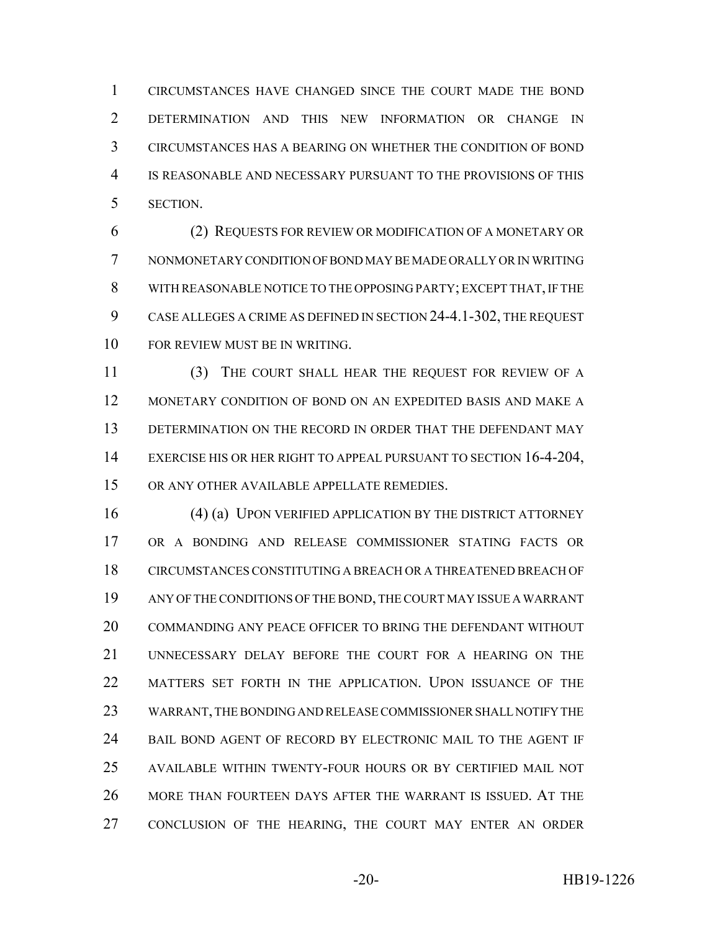CIRCUMSTANCES HAVE CHANGED SINCE THE COURT MADE THE BOND DETERMINATION AND THIS NEW INFORMATION OR CHANGE IN CIRCUMSTANCES HAS A BEARING ON WHETHER THE CONDITION OF BOND IS REASONABLE AND NECESSARY PURSUANT TO THE PROVISIONS OF THIS SECTION.

 (2) REQUESTS FOR REVIEW OR MODIFICATION OF A MONETARY OR NONMONETARY CONDITION OF BOND MAY BE MADE ORALLY OR IN WRITING WITH REASONABLE NOTICE TO THE OPPOSING PARTY; EXCEPT THAT, IF THE CASE ALLEGES A CRIME AS DEFINED IN SECTION 24-4.1-302, THE REQUEST FOR REVIEW MUST BE IN WRITING.

 (3) THE COURT SHALL HEAR THE REQUEST FOR REVIEW OF A MONETARY CONDITION OF BOND ON AN EXPEDITED BASIS AND MAKE A 13 DETERMINATION ON THE RECORD IN ORDER THAT THE DEFENDANT MAY 14 EXERCISE HIS OR HER RIGHT TO APPEAL PURSUANT TO SECTION 16-4-204, OR ANY OTHER AVAILABLE APPELLATE REMEDIES.

16 (4) (a) UPON VERIFIED APPLICATION BY THE DISTRICT ATTORNEY OR A BONDING AND RELEASE COMMISSIONER STATING FACTS OR CIRCUMSTANCES CONSTITUTING A BREACH OR A THREATENED BREACH OF ANY OF THE CONDITIONS OF THE BOND, THE COURT MAY ISSUE A WARRANT COMMANDING ANY PEACE OFFICER TO BRING THE DEFENDANT WITHOUT UNNECESSARY DELAY BEFORE THE COURT FOR A HEARING ON THE MATTERS SET FORTH IN THE APPLICATION. UPON ISSUANCE OF THE WARRANT, THE BONDING AND RELEASE COMMISSIONER SHALL NOTIFY THE BAIL BOND AGENT OF RECORD BY ELECTRONIC MAIL TO THE AGENT IF AVAILABLE WITHIN TWENTY-FOUR HOURS OR BY CERTIFIED MAIL NOT MORE THAN FOURTEEN DAYS AFTER THE WARRANT IS ISSUED. AT THE CONCLUSION OF THE HEARING, THE COURT MAY ENTER AN ORDER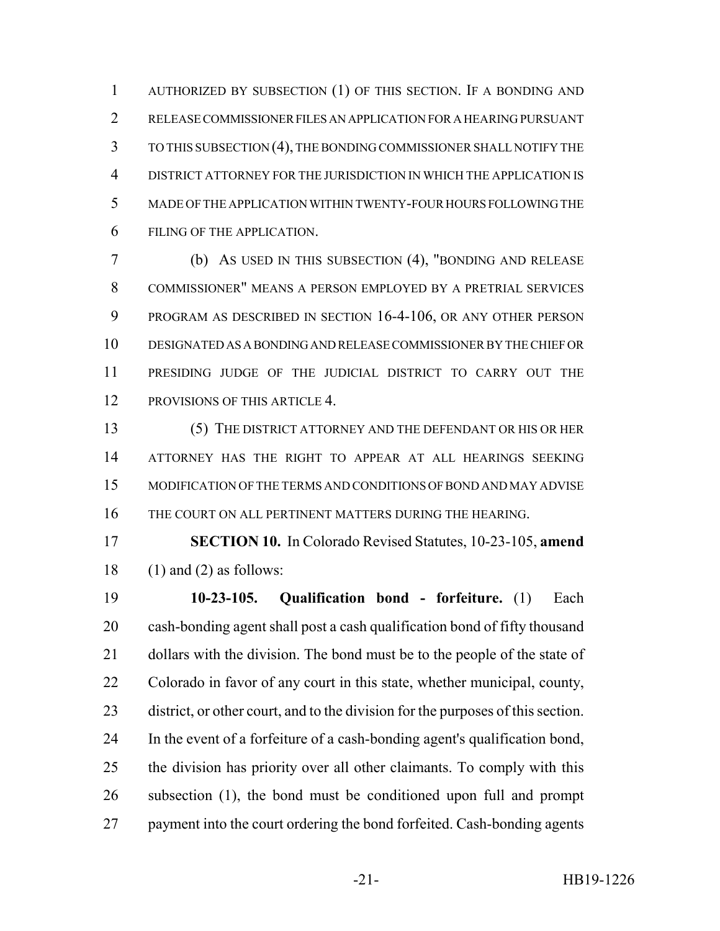AUTHORIZED BY SUBSECTION (1) OF THIS SECTION. IF A BONDING AND RELEASE COMMISSIONER FILES AN APPLICATION FOR A HEARING PURSUANT TO THIS SUBSECTION (4), THE BONDING COMMISSIONER SHALL NOTIFY THE DISTRICT ATTORNEY FOR THE JURISDICTION IN WHICH THE APPLICATION IS MADE OF THE APPLICATION WITHIN TWENTY-FOUR HOURS FOLLOWING THE FILING OF THE APPLICATION.

 (b) AS USED IN THIS SUBSECTION (4), "BONDING AND RELEASE COMMISSIONER" MEANS A PERSON EMPLOYED BY A PRETRIAL SERVICES PROGRAM AS DESCRIBED IN SECTION 16-4-106, OR ANY OTHER PERSON DESIGNATED AS A BONDING AND RELEASE COMMISSIONER BY THE CHIEF OR PRESIDING JUDGE OF THE JUDICIAL DISTRICT TO CARRY OUT THE PROVISIONS OF THIS ARTICLE 4.

 (5) THE DISTRICT ATTORNEY AND THE DEFENDANT OR HIS OR HER ATTORNEY HAS THE RIGHT TO APPEAR AT ALL HEARINGS SEEKING MODIFICATION OF THE TERMS AND CONDITIONS OF BOND AND MAY ADVISE 16 THE COURT ON ALL PERTINENT MATTERS DURING THE HEARING.

 **SECTION 10.** In Colorado Revised Statutes, 10-23-105, **amend** 18 (1) and (2) as follows:

 **10-23-105. Qualification bond - forfeiture.** (1) Each cash-bonding agent shall post a cash qualification bond of fifty thousand 21 dollars with the division. The bond must be to the people of the state of Colorado in favor of any court in this state, whether municipal, county, district, or other court, and to the division for the purposes of this section. In the event of a forfeiture of a cash-bonding agent's qualification bond, the division has priority over all other claimants. To comply with this subsection (1), the bond must be conditioned upon full and prompt payment into the court ordering the bond forfeited. Cash-bonding agents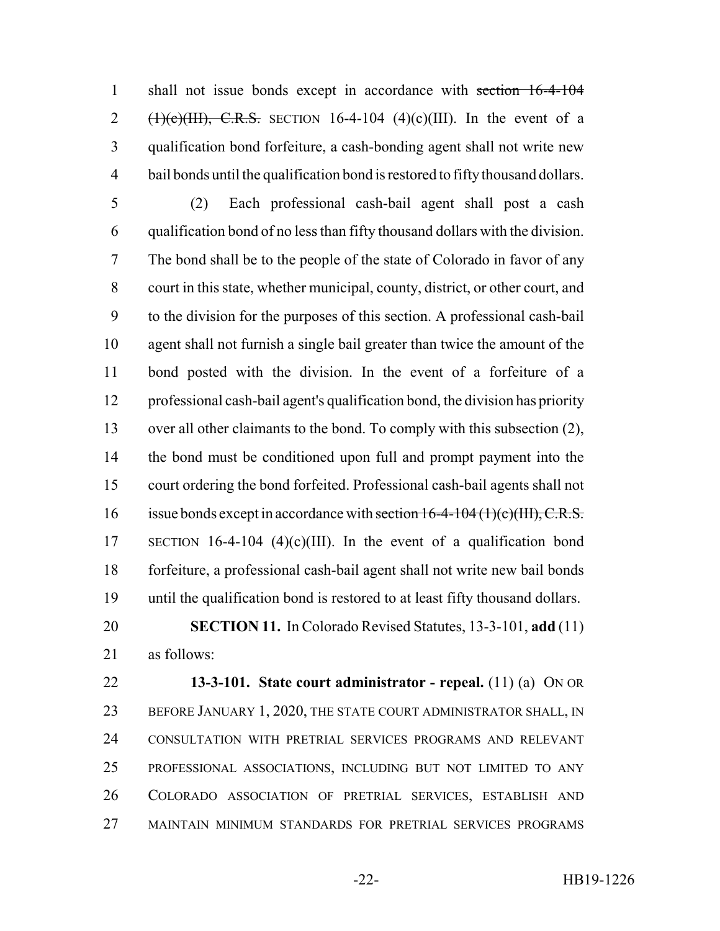shall not issue bonds except in accordance with section 16-4-104 2 (1)(c)(III), C.R.S. SECTION 16-4-104 (4)(c)(III). In the event of a qualification bond forfeiture, a cash-bonding agent shall not write new bail bonds until the qualification bond is restored to fifty thousand dollars.

 (2) Each professional cash-bail agent shall post a cash qualification bond of no less than fifty thousand dollars with the division. The bond shall be to the people of the state of Colorado in favor of any court in this state, whether municipal, county, district, or other court, and to the division for the purposes of this section. A professional cash-bail agent shall not furnish a single bail greater than twice the amount of the bond posted with the division. In the event of a forfeiture of a professional cash-bail agent's qualification bond, the division has priority over all other claimants to the bond. To comply with this subsection (2), the bond must be conditioned upon full and prompt payment into the court ordering the bond forfeited. Professional cash-bail agents shall not 16 issue bonds except in accordance with section 16-4-104 (1)(c)(III), C.R.S. SECTION 16-4-104 (4)(c)(III). In the event of a qualification bond forfeiture, a professional cash-bail agent shall not write new bail bonds until the qualification bond is restored to at least fifty thousand dollars.

 **SECTION 11.** In Colorado Revised Statutes, 13-3-101, **add** (11) as follows:

 **13-3-101. State court administrator - repeal.** (11) (a) ON OR 23 BEFORE JANUARY 1, 2020, THE STATE COURT ADMINISTRATOR SHALL, IN CONSULTATION WITH PRETRIAL SERVICES PROGRAMS AND RELEVANT PROFESSIONAL ASSOCIATIONS, INCLUDING BUT NOT LIMITED TO ANY COLORADO ASSOCIATION OF PRETRIAL SERVICES, ESTABLISH AND MAINTAIN MINIMUM STANDARDS FOR PRETRIAL SERVICES PROGRAMS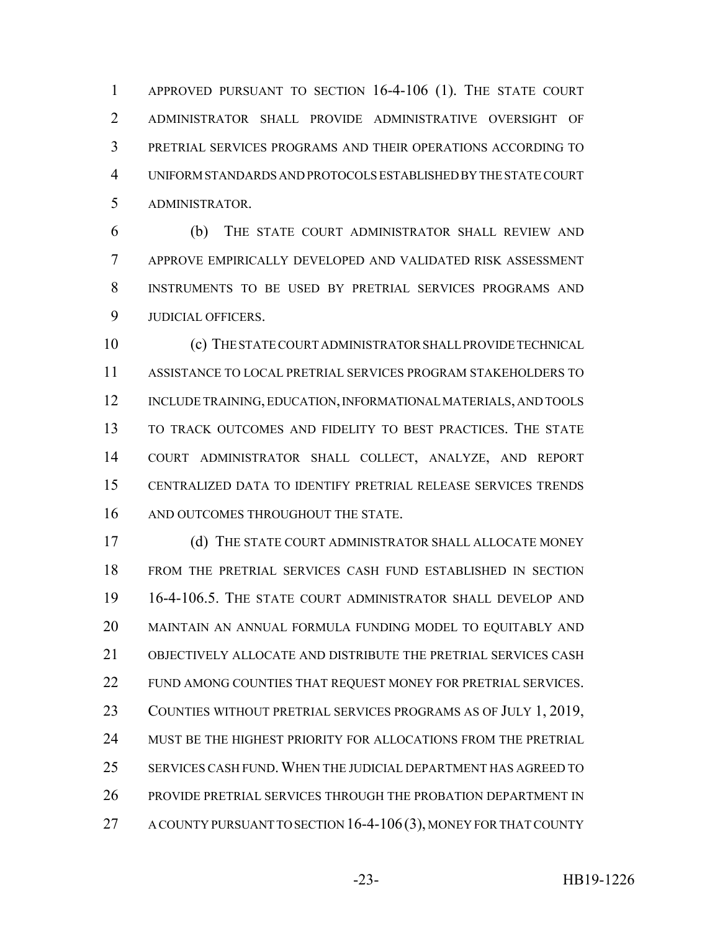APPROVED PURSUANT TO SECTION 16-4-106 (1). THE STATE COURT ADMINISTRATOR SHALL PROVIDE ADMINISTRATIVE OVERSIGHT OF PRETRIAL SERVICES PROGRAMS AND THEIR OPERATIONS ACCORDING TO UNIFORM STANDARDS AND PROTOCOLS ESTABLISHED BY THE STATE COURT ADMINISTRATOR.

 (b) THE STATE COURT ADMINISTRATOR SHALL REVIEW AND APPROVE EMPIRICALLY DEVELOPED AND VALIDATED RISK ASSESSMENT INSTRUMENTS TO BE USED BY PRETRIAL SERVICES PROGRAMS AND JUDICIAL OFFICERS.

 (c) THE STATE COURT ADMINISTRATOR SHALL PROVIDE TECHNICAL ASSISTANCE TO LOCAL PRETRIAL SERVICES PROGRAM STAKEHOLDERS TO INCLUDE TRAINING, EDUCATION, INFORMATIONAL MATERIALS, AND TOOLS TO TRACK OUTCOMES AND FIDELITY TO BEST PRACTICES. THE STATE COURT ADMINISTRATOR SHALL COLLECT, ANALYZE, AND REPORT CENTRALIZED DATA TO IDENTIFY PRETRIAL RELEASE SERVICES TRENDS 16 AND OUTCOMES THROUGHOUT THE STATE.

 (d) THE STATE COURT ADMINISTRATOR SHALL ALLOCATE MONEY FROM THE PRETRIAL SERVICES CASH FUND ESTABLISHED IN SECTION 16-4-106.5. THE STATE COURT ADMINISTRATOR SHALL DEVELOP AND MAINTAIN AN ANNUAL FORMULA FUNDING MODEL TO EQUITABLY AND OBJECTIVELY ALLOCATE AND DISTRIBUTE THE PRETRIAL SERVICES CASH FUND AMONG COUNTIES THAT REQUEST MONEY FOR PRETRIAL SERVICES. COUNTIES WITHOUT PRETRIAL SERVICES PROGRAMS AS OF JULY 1, 2019, MUST BE THE HIGHEST PRIORITY FOR ALLOCATIONS FROM THE PRETRIAL SERVICES CASH FUND.WHEN THE JUDICIAL DEPARTMENT HAS AGREED TO PROVIDE PRETRIAL SERVICES THROUGH THE PROBATION DEPARTMENT IN 27 A COUNTY PURSUANT TO SECTION 16-4-106(3), MONEY FOR THAT COUNTY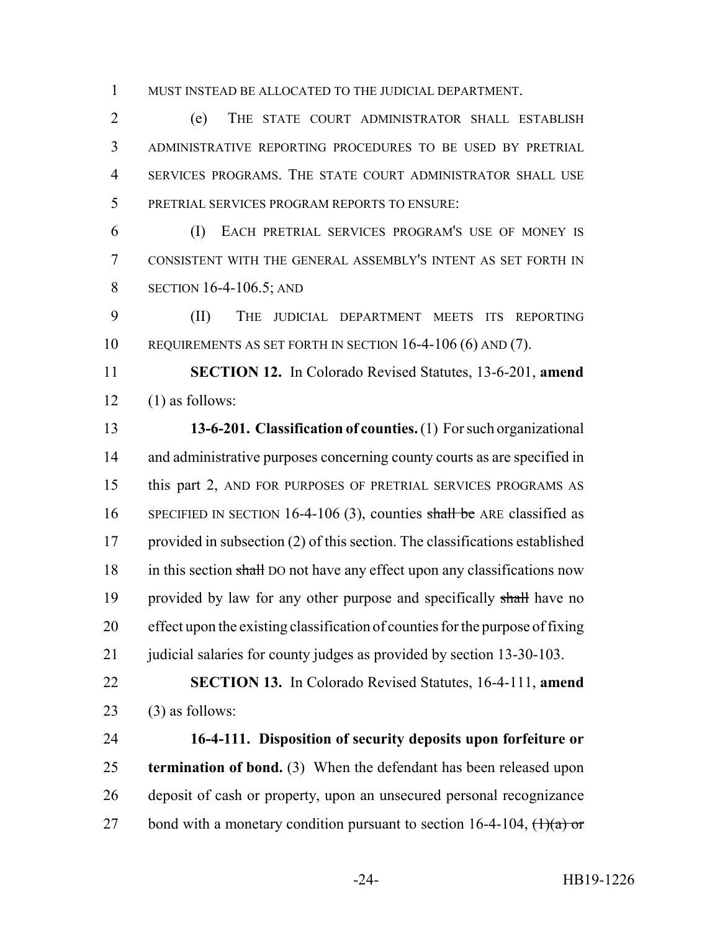MUST INSTEAD BE ALLOCATED TO THE JUDICIAL DEPARTMENT.

 (e) THE STATE COURT ADMINISTRATOR SHALL ESTABLISH ADMINISTRATIVE REPORTING PROCEDURES TO BE USED BY PRETRIAL SERVICES PROGRAMS. THE STATE COURT ADMINISTRATOR SHALL USE PRETRIAL SERVICES PROGRAM REPORTS TO ENSURE:

 (I) EACH PRETRIAL SERVICES PROGRAM'S USE OF MONEY IS CONSISTENT WITH THE GENERAL ASSEMBLY'S INTENT AS SET FORTH IN **SECTION 16-4-106.5; AND** 

 (II) THE JUDICIAL DEPARTMENT MEETS ITS REPORTING REQUIREMENTS AS SET FORTH IN SECTION 16-4-106 (6) AND (7).

 **SECTION 12.** In Colorado Revised Statutes, 13-6-201, **amend**  $12 \quad (1)$  as follows:

 **13-6-201. Classification of counties.** (1) For such organizational 14 and administrative purposes concerning county courts as are specified in this part 2, AND FOR PURPOSES OF PRETRIAL SERVICES PROGRAMS AS 16 SPECIFIED IN SECTION 16-4-106 (3), counties shall be ARE classified as provided in subsection (2) of this section. The classifications established 18 in this section shall DO not have any effect upon any classifications now 19 provided by law for any other purpose and specifically shall have no effect upon the existing classification of counties for the purpose of fixing 21 judicial salaries for county judges as provided by section 13-30-103.

 **SECTION 13.** In Colorado Revised Statutes, 16-4-111, **amend** 23 (3) as follows:

 **16-4-111. Disposition of security deposits upon forfeiture or termination of bond.** (3) When the defendant has been released upon deposit of cash or property, upon an unsecured personal recognizance 27 bond with a monetary condition pursuant to section 16-4-104,  $\left(\frac{1}{a}\right)$  or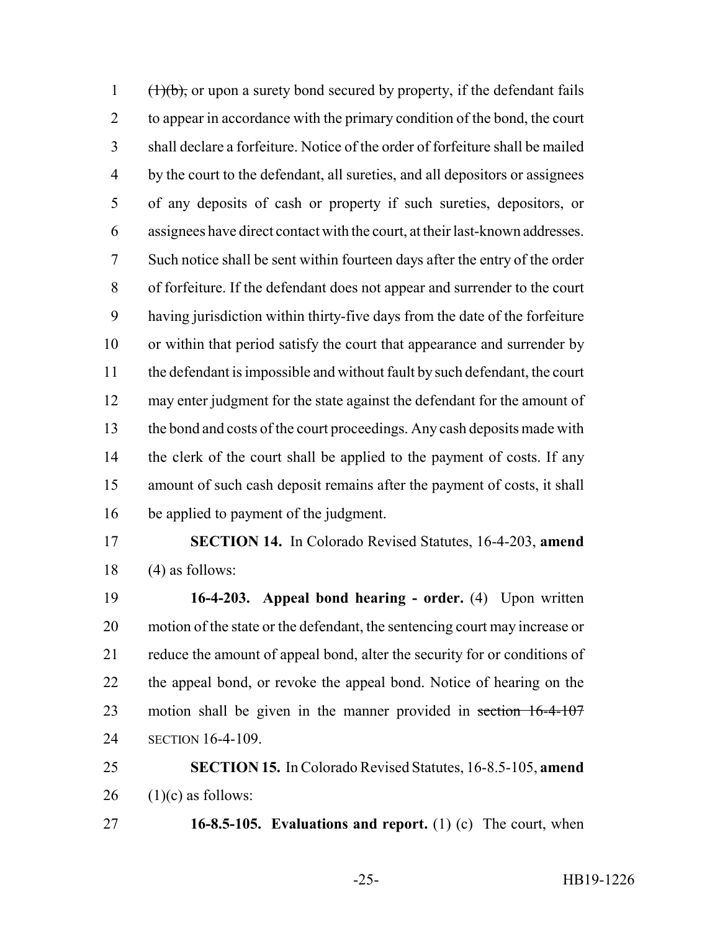$(\frac{1}{b}, \frac{1}{b})$ , or upon a surety bond secured by property, if the defendant fails to appear in accordance with the primary condition of the bond, the court shall declare a forfeiture. Notice of the order of forfeiture shall be mailed by the court to the defendant, all sureties, and all depositors or assignees of any deposits of cash or property if such sureties, depositors, or assignees have direct contact with the court, at their last-known addresses. Such notice shall be sent within fourteen days after the entry of the order of forfeiture. If the defendant does not appear and surrender to the court having jurisdiction within thirty-five days from the date of the forfeiture or within that period satisfy the court that appearance and surrender by the defendant is impossible and without fault by such defendant, the court may enter judgment for the state against the defendant for the amount of the bond and costs of the court proceedings. Any cash deposits made with 14 the clerk of the court shall be applied to the payment of costs. If any amount of such cash deposit remains after the payment of costs, it shall be applied to payment of the judgment.

 **SECTION 14.** In Colorado Revised Statutes, 16-4-203, **amend** (4) as follows:

 **16-4-203. Appeal bond hearing - order.** (4) Upon written motion of the state or the defendant, the sentencing court may increase or reduce the amount of appeal bond, alter the security for or conditions of the appeal bond, or revoke the appeal bond. Notice of hearing on the 23 motion shall be given in the manner provided in section 16-4-107 SECTION 16-4-109.

 **SECTION 15.** In Colorado Revised Statutes, 16-8.5-105, **amend** 26  $(1)(c)$  as follows:

**16-8.5-105. Evaluations and report.** (1) (c) The court, when